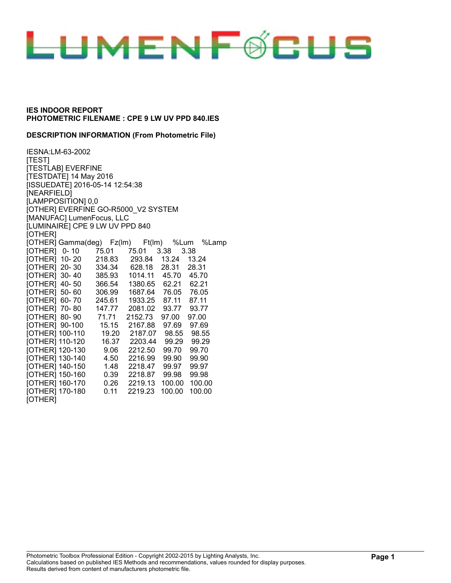

#### **DESCRIPTION INFORMATION (From Photometric File)**

IESNA:LM-63-2002 [TEST] [TESTLAB] EVERFINE [TESTDATE] 14 May 2016 [ISSUEDATE] 2016-05-14 12:54:38 [NEARFIELD] [LAMPPOSITION] 0,0 [OTHER] EVERFINE GO-R5000\_V2 SYSTEM [MANUFAC] LumenFocus, LLC [LUMINAIRE] CPE 9 LW UV PPD 840 [OTHER] [OTHER] Gamma(deg) Fz(lm) Ft(lm) %Lum %Lamp<br>[OTHER] 0- 10 75.01 75.01 3.38 3.38 [OTHER] 0- 10 75.01 75.01 3.38 3.38 [OTHER] 10- 20 218.83 293.84 13.24 13.24 [OTHER] 20- 30 334.34 628.18 28.31 28.31 [OTHER] 30- 40 385.93 1014.11 45.70 45.70 [OTHER] 40- 50 366.54 1380.65 62.21 62.21 [OTHER] 50- 60 306.99 1687.64 76.05 76.05 [OTHER] 60- 70 245.61 1933.25 87.11 87.11 [OTHER] 70- 80 147.77 2081.02 93.77 93.77 [OTHER] 80- 90 71.71 2152.73 97.00 97.00 [OTHER] 90-100 15.15 2167.88 97.69 97.69 [OTHER] 100-110 19.20 2187.07 98.55 98.55 [OTHER] 110-120 16.37 2203.44 99.29 99.29 [OTHER] 120-130 9.06 2212.50 99.70 99.70 [OTHER] 130-140 4.50 2216.99 99.90 99.90 [OTHER] 140-150 1.48 2218.47 99.97 99.97 [OTHER] 150-160 0.39 2218.87 99.98 99.98 [OTHER] 160-170 0.26 2219.13 100.00 100.00 [OTHER] 170-180 0.11 2219.23 100.00 100.00 [OTHER]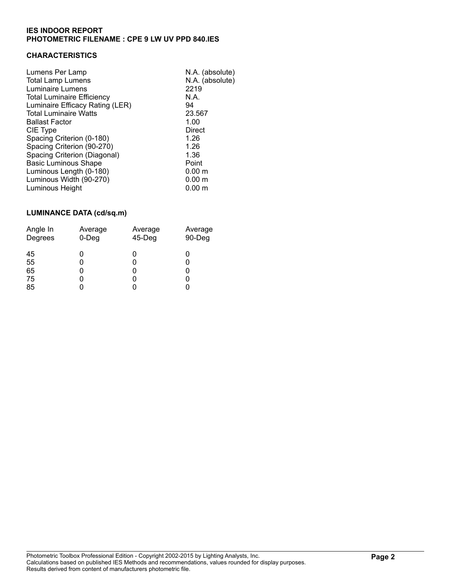## **CHARACTERISTICS**

| Lumens Per Lamp<br><b>Total Lamp Lumens</b><br>Luminaire Lumens      | N.A. (absolute)<br>N.A. (absolute)<br>2219<br>N.A. |
|----------------------------------------------------------------------|----------------------------------------------------|
| <b>Total Luminaire Efficiency</b><br>Luminaire Efficacy Rating (LER) | 94                                                 |
| <b>Total Luminaire Watts</b>                                         | 23.567                                             |
| <b>Ballast Factor</b>                                                | 1.00                                               |
| CIE Type                                                             | Direct                                             |
| Spacing Criterion (0-180)                                            | 1.26                                               |
| Spacing Criterion (90-270)                                           | 1.26                                               |
| Spacing Criterion (Diagonal)                                         | 1.36                                               |
| <b>Basic Luminous Shape</b>                                          | Point                                              |
| Luminous Length (0-180)                                              | 0.00 <sub>m</sub>                                  |
| Luminous Width (90-270)                                              | 0.00 <sub>m</sub>                                  |
| Luminous Height                                                      | $0.00 \;{\rm m}$                                   |
|                                                                      |                                                    |

## **LUMINANCE DATA (cd/sq.m)**

| Angle In                   | Average     | Average   | Average |
|----------------------------|-------------|-----------|---------|
| Degrees                    | $0$ -Deg    | $45-$ Deg | 90-Deg  |
| 45<br>55<br>65<br>75<br>85 | 0<br>0<br>0 |           |         |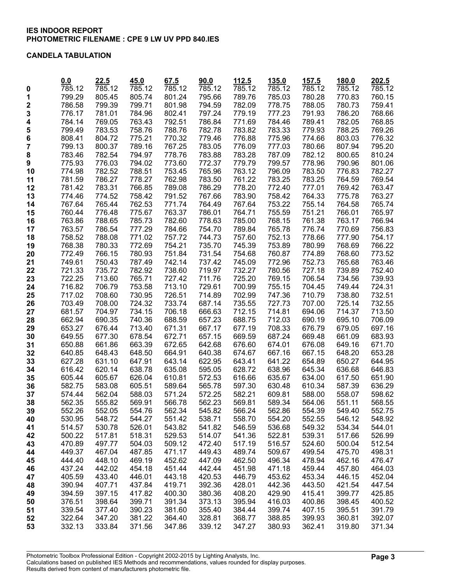### **CANDELA TABULATION**

|          | 0.0              | 22.5   | 45.0             | 67.5   | 90.0   | 112.5               | 135.0  | 157.5            | 180.0  | 202.5  |
|----------|------------------|--------|------------------|--------|--------|---------------------|--------|------------------|--------|--------|
| 0        | 785.12           | 785.12 | 785.12           | 785.12 | 785.12 | $\overline{785.12}$ | 785.12 | 785.12           | 785.12 | 785.12 |
| 1        | 799.29           | 805.45 | 805.74           | 801.24 | 795.66 | 789.76              | 785.03 | 780.28           | 770.83 | 760.15 |
| 2        | 786.58           | 799.39 | 799.71           | 801.98 | 794.59 | 782.09              | 778.75 | 788.05           | 780.73 | 759.41 |
| 3        | 776.17           | 781.01 | 784.96           | 802.41 | 797.24 | 779.19              | 777.23 | 791.93           | 786.20 | 768.66 |
| 4        | 784.14           | 769.05 | 763.43           | 792.51 | 786.84 | 771.69              | 784.46 | 789.41           | 782.05 | 768.85 |
| 5        | 799.49           | 783.53 | 758.76           | 788.76 | 782.78 | 783.82              | 783.33 | 779.93           | 788.25 | 769.26 |
| 6        | 808.41           | 804.72 | 775.21           | 770.32 | 779.46 | 776.88              | 775.96 | 774.66           | 803.03 | 776.32 |
| 7        | 799.13           | 800.37 | 789.16           | 767.25 | 783.05 | 776.09              | 777.03 | 780.66           | 807.94 | 795.20 |
| 8        | 783.46           | 782.54 | 794.97           | 778.76 | 783.88 | 783.28              | 787.09 | 782.12           | 800.65 | 810.24 |
| 9        | 775.93           | 776.03 | 794.02           | 773.60 | 772.37 | 779.79              | 799.57 | 778.96           | 790.96 | 801.06 |
| 10       | 774.98           | 782.52 | 788.51           | 753.45 | 765.96 | 763.12              | 796.09 | 783.50           | 776.83 | 782.27 |
| 11       | 781.59           | 786.27 | 778.27           | 762.98 | 783.50 | 761.22              | 783.25 | 783.25           | 764.59 | 769.54 |
| 12       | 781.42           | 783.31 | 766.85           | 789.08 | 786.29 | 778.20              | 772.40 | 777.01           | 769.42 | 763.47 |
| 13       | 774.46           | 774.52 | 758.42           | 791.52 | 767.66 | 783.90              | 758.42 | 764.33           | 775.78 | 763.27 |
| 14       | 767.64           | 765.44 | 762.53           | 771.74 | 764.49 | 767.64              | 753.22 | 755.14           | 764.58 | 765.74 |
| 15       | 760.44           | 776.48 | 775.67           | 763.37 | 786.01 | 764.71              | 755.59 | 751.21           | 766.01 | 765.97 |
| 16       | 763.86           | 788.65 | 785.73           | 782.60 | 778.63 | 785.00              | 768.15 | 761.38           | 763.17 | 766.94 |
| 17       | 763.57           | 786.54 | 777.29           | 784.66 | 754.70 | 789.84              | 765.78 | 776.74           | 770.69 | 756.83 |
| 18       | 758.52           | 788.08 | 771.02           | 757.72 | 744.73 | 757.60              | 752.13 | 778.66           | 777.90 | 754.17 |
| 19       | 768.38           | 780.33 | 772.69           | 754.21 | 735.70 | 745.39              | 753.89 | 780.99           | 768.69 | 766.22 |
| 20       | 772.49           | 766.15 | 780.93           | 751.84 | 731.54 | 754.68              | 760.87 | 774.89           | 768.60 | 773.52 |
| 21       | 749.61           | 750.43 | 787.49           | 742.14 | 737.42 | 745.09              | 772.96 | 752.73           | 765.68 | 763.46 |
| 22       | 721.33           | 735.72 | 782.92           | 738.60 | 719.97 | 732.27              | 780.56 | 727.18           | 739.89 | 752.40 |
| 23       | 722.25           | 713.60 | 765.71           | 727.42 | 711.76 | 725.20              | 769.15 | 706.54           | 734.56 | 739.93 |
| 24       | 716.82           | 706.79 | 753.58           | 713.10 | 729.61 | 700.99              | 755.15 | 704.45           | 749.44 | 724.31 |
| 25       | 717.02           | 708.60 | 730.95           | 726.51 | 714.89 | 702.99              | 747.36 | 710.79           | 738.80 | 732.51 |
| 26       | 703.49           | 708.00 | 724.32           | 733.74 | 687.14 | 735.55              | 727.73 | 707.00           | 725.14 | 732.55 |
| 27       | 681.57           | 704.97 | 734.15           | 706.18 | 666.63 | 712.15              | 714.81 | 694.06           | 714.37 | 713.50 |
| 28       | 662.94           | 690.35 | 740.36           | 688.59 | 657.23 | 688.75              | 712.03 | 690.19           | 695.10 | 706.09 |
| 29       | 653.27           | 676.44 | 713.40           | 671.31 | 667.17 | 677.19              | 708.33 | 676.79           | 679.05 | 697.16 |
| 30       | 649.55           | 677.30 | 678.54           | 672.71 | 657.15 | 669.59              | 687.24 | 669.48           | 661.09 | 683.93 |
| 31       | 650.88           | 661.86 | 663.39           | 672.65 | 642.68 | 676.60              | 674.01 | 676.08           | 649.16 | 671.70 |
| 32       | 640.85           | 648.43 | 648.50           | 664.91 | 640.38 | 674.67              | 667.16 | 667.15           | 648.20 | 653.28 |
| 33       | 627.28           | 631.10 | 647.91           | 643.14 | 622.95 | 643.41              | 641.22 | 654.89           | 650.27 | 644.95 |
| 34       | 616.42           | 620.14 | 638.78           | 635.08 | 595.05 | 628.72              | 638.96 | 645.34           | 636.68 | 646.83 |
| 35       | 605.44           | 605.67 | 626.04           | 610.81 | 572.53 | 616.66              | 635.67 | 634.00           | 617.50 | 651.90 |
| 36       | 582.75           | 583.08 | 605.51           | 589.64 | 565.78 | 597.30              | 630.48 | 610.34           | 587.39 | 636.29 |
| 37       | 574.44           | 562.04 | 588.03           | 571.24 | 572.25 | 582.21              | 609.81 | 588.00           | 558.07 | 598.62 |
| 38       | 562.35           | 555.82 | 569.91           | 566.78 | 562.23 | 569.81              | 589.34 | 564.06           | 551.11 | 568.55 |
| 39       | 552.26           | 552.05 | 554.76           | 562.34 | 545.82 | 566.24              | 562.86 | 554.39           | 549.40 | 552.75 |
| 40       | 530.95           | 548.72 | 544.27           | 551.42 | 538.71 | 558.70              | 554.20 | 552.55           | 546.12 | 548.92 |
| 41       | 514.57           | 530.78 | 526.01           | 543.82 | 541.82 | 546.59              | 536.68 | 549.32           | 534.34 | 544.01 |
| 42       | 500.22           | 517.81 | 518.31           | 529.53 | 514.07 | 541.36              | 522.81 | 539.31           | 517.66 | 526.99 |
| 43       | 470.89           | 497.77 | 504.03           | 509.12 | 472.40 | 517.19              | 516.57 | 524.60           | 500.04 | 512.54 |
| 44       | 449.37           | 467.04 | 487.85           | 471.17 | 449.43 | 489.74              | 509.67 | 499.54           | 475.70 | 498.31 |
| 45       | 444.40           | 448.10 | 469.19           | 452.62 | 447.09 | 462.50              | 496.34 | 478.94           | 462.16 | 476.47 |
| 46       | 437.24           | 442.02 | 454.18           | 451.44 | 442.44 | 451.98              | 471.18 | 459.44           | 457.80 | 464.03 |
| 47       | 405.59           | 433.40 | 446.01           | 443.18 | 420.53 | 446.79              | 453.62 | 453.34           | 446.15 | 452.04 |
| 48       | 390.94<br>394.59 | 407.71 | 437.84           | 419.71 | 392.36 | 428.01              | 442.36 | 443.50           | 421.54 | 447.54 |
| 49       |                  | 397.15 | 417.82<br>399.71 | 400.30 | 380.36 | 408.20              | 429.90 | 415.41           | 399.77 | 425.85 |
| 50       | 376.51           | 398.64 |                  | 391.34 | 373.13 | 395.94              | 416.03 | 400.86<br>407.15 | 398.45 | 400.52 |
| 51       | 339.54           | 377.40 | 390.23           | 381.60 | 355.40 | 384.44              | 399.74 |                  | 395.51 | 391.79 |
| 52<br>53 | 322.64           | 347.20 | 381.22           | 364.40 | 328.81 | 368.77              | 388.85 | 399.93           | 360.81 | 392.07 |
|          | 332.13           | 333.84 | 371.56           | 347.86 | 339.12 | 347.27              | 380.93 | 362.41           | 319.80 | 371.34 |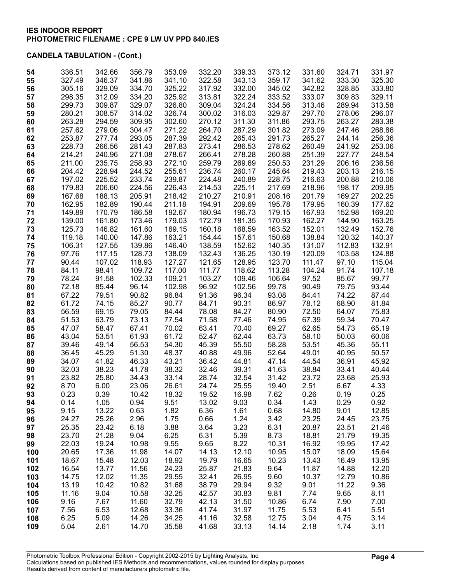| 54       | 336.51         | 342.66         | 356.79         | 353.09          | 332.20         | 339.33          | 373.12         | 331.60         | 324.71         | 331.97         |
|----------|----------------|----------------|----------------|-----------------|----------------|-----------------|----------------|----------------|----------------|----------------|
| 55       | 327.49         | 346.37         | 341.86         | 341.10          | 322.58         | 343.13          | 359.17         | 341.62         | 333.30         | 325.30         |
| 56       | 305.16         | 329.09         | 334.70         | 325.22          | 317.92         | 332.00          | 345.02         | 342.82         | 328.85         | 333.80         |
| 57       | 298.35         | 312.09         | 334.20         | 325.92          | 313.81         | 322.24          | 333.52         | 333.07         | 309.83         | 329.11         |
| 58       | 299.73         | 309.87         | 329.07         | 326.80          | 309.04         | 324.24          | 334.56         | 313.46         | 289.94         | 313.58         |
| 59       | 280.21         | 308.57         | 314.02         | 326.74          | 300.02         | 316.03          | 329.87         | 297.70         | 278.06         | 296.07         |
| 60       | 263.28         | 294.59         | 309.95         | 302.60          | 270.12         | 311.30          | 311.86         | 293.75         | 263.27         | 283.38         |
| 61       | 257.62         | 279.06         | 304.47         | 271.22          | 264.70         | 287.29          | 301.82         | 273.09         | 247.46         | 268.86         |
| 62       | 253.87         | 277.74         | 293.05         | 287.39          | 292.42         | 265.43          | 291.73         | 265.27         | 244.14         | 256.36         |
| 63       | 228.73         | 266.56         | 281.43         | 287.83          | 273.41         | 286.53          | 278.62         | 260.49         | 241.92         | 253.06         |
| 64       | 214.21         | 240.96         | 271.08         | 278.67          | 266.41         | 278.28          | 260.88         | 251.39         | 227.77         | 248.54         |
| 65       | 211.00         | 235.75         | 258.93         | 272.10          | 259.79         | 269.69          | 250.53         | 231.29         | 206.16         | 236.56         |
| 66       | 204.42         | 228.94         | 244.52         | 255.61          | 236.74         | 260.17          | 245.64         | 219.43         | 203.13         | 216.15         |
| 67       | 197.02         | 225.52         | 233.74         | 239.87          | 224.48         | 240.89          | 228.75         | 216.63         | 200.88         | 210.06         |
| 68       | 179.83         | 206.60         | 224.56         | 226.43          | 214.53         | 225.11          | 217.69         | 218.96         | 198.17         | 209.95         |
| 69       | 167.68         | 188.13         | 205.91         | 218.42          | 210.27         | 210.91          | 208.16         | 201.79         | 169.27         | 202.25         |
| 70       | 162.95         | 182.89         | 190.44         | 211.18          | 194.91         | 209.69          | 195.78         | 179.95         | 160.39         | 177.62         |
| 71       | 149.89         | 170.79         | 186.58         | 192.67          | 180.94         | 196.73          | 179.15         | 167.93         | 152.98         | 169.20         |
| 72       | 139.00         | 161.80         | 173.46         | 179.03          | 172.79         | 181.35          | 170.93         | 162.27         | 144.90         | 163.25         |
| 73       | 125.73         | 146.82         | 161.60         | 169.15          | 160.18         | 168.59          | 163.52         | 152.01         | 132.49         | 152.76         |
| 74       | 119.18         | 140.00         | 147.86         | 163.21          | 154.44         | 157.61          | 150.68         | 138.84         | 120.32         | 140.37         |
| 75       | 106.31         | 127.55         | 139.86         | 146.40          | 138.59         | 152.62          | 140.35         | 131.07         | 112.83         | 132.91         |
| 76       | 97.76          | 117.15         | 128.73         | 138.09          | 132.43         | 136.25          | 130.19         | 120.09         | 103.58         | 124.88         |
| 77       | 90.44          | 107.02         | 118.93         | 127.27          | 121.65         | 128.95          | 123.70         | 111.47         | 97.10          | 115.04         |
| 78       | 84.11          | 98.41          | 109.72         | 117.00          | 111.77         | 118.62          | 113.28         | 104.24         | 91.74          | 107.18         |
| 79       | 78.24          | 91.58          | 102.33         | 109.21          | 103.27         | 109.46          | 106.64         | 97.52          | 85.67          | 99.77          |
| 80       | 72.18          | 85.44          | 96.14          | 102.98<br>96.84 | 96.92          | 102.56<br>96.34 | 99.78          | 90.49          | 79.75<br>74.22 | 93.44<br>87.44 |
| 81<br>82 | 67.22<br>61.72 | 79.51<br>74.15 | 90.82<br>85.27 | 90.77           | 91.36<br>84.71 | 90.31           | 93.08<br>86.97 | 84.41<br>78.12 | 68.90          | 81.84          |
| 83       | 56.59          | 69.15          | 79.05          | 84.44           | 78.08          | 84.27           | 80.90          | 72.50          | 64.07          | 75.83          |
| 84       | 51.53          | 63.79          | 73.13          | 77.54           | 71.58          | 77.46           | 74.95          | 67.39          | 59.34          | 70.47          |
| 85       | 47.07          | 58.47          | 67.41          | 70.02           | 63.41          | 70.40           | 69.27          | 62.65          | 54.73          | 65.19          |
| 86       | 43.04          | 53.51          | 61.93          | 61.72           | 52.47          | 62.44           | 63.73          | 58.10          | 50.03          | 60.06          |
| 87       | 39.46          | 49.14          | 56.53          | 54.30           | 45.39          | 55.50           | 58.28          | 53.51          | 45.36          | 55.11          |
| 88       | 36.45          | 45.29          | 51.30          | 48.37           | 40.88          | 49.96           | 52.64          | 49.01          | 40.95          | 50.57          |
| 89       | 34.07          | 41.82          | 46.33          | 43.21           | 36.42          | 44.81           | 47.14          | 44.54          | 36.91          | 45.92          |
| 90       | 32.03          | 38.23          | 41.78          | 38.32           | 32.46          | 39.31           | 41.63          | 38.84          | 33.41          | 40.44          |
| 91       | 23.82          | 25.80          | 34.43          | 33.14           | 28.74          | 32.54           | 31.42          | 23.72          | 23.68          | 25.93          |
| 92       | 8.70           | 6.00           | 23.06          | 26.61           | 24.74          | 25.55           | 19.40          | 2.51           | 6.67           | 4.33           |
| 93       | 0.23           | 0.39           | 10.42          | 18.32           | 19.52          | 16.98           | 7.62           | 0.26           | 0.19           | 0.25           |
| 94       | 0.14           | 1.05           | 0.94           | 9.51            | 13.02          | 9.03            | 0.34           | 1.43           | 0.29           | 0.92           |
| 95       | 9.15           | 13.22          | 0.63           | 1.82            | 6.36           | 1.61            | 0.68           | 14.80          | 9.01           | 12.85          |
| 96       | 24.27          | 25.26          | 2.96           | 1.75            | 0.66           | 1.24            | 3.42           | 23.25          | 24.45          | 23.75          |
| 97       | 25.35          | 23.42          | 6.18           | 3.88            | 3.64           | 3.23            | 6.31           | 20.87          | 23.51          | 21.46          |
| 98       | 23.70          | 21.28          | 9.04           | 6.25            | 6.31           | 5.39            | 8.73           | 18.81          | 21.79          | 19.35          |
| 99       | 22.03          | 19.24          | 10.98          | 9.55            | 9.65           | 8.22            | 10.31          | 16.92          | 19.95          | 17.42          |
| 100      | 20.65          | 17.36          | 11.98          | 14.07           | 14.13          | 12.10           | 10.95          | 15.07          | 18.09          | 15.64          |
| 101      | 18.67          | 15.48          | 12.03          | 18.92           | 19.79          | 16.65           | 10.23          | 13.43          | 16.49          | 13.95          |
| 102      | 16.54          | 13.77          | 11.56          | 24.23           | 25.87          | 21.83           | 9.64           | 11.87          | 14.88          | 12.20          |
| 103      | 14.75          | 12.02          | 11.35          | 29.55           | 32.41          | 26.95           | 9.60           | 10.37          | 12.79          | 10.86          |
| 104      | 13.19          | 10.42          | 10.82          | 31.68           | 38.79          | 29.94           | 9.32           | 9.01           | 11.22          | 9.36           |
| 105      | 11.16          | 9.04           | 10.58          | 32.25           | 42.57          | 30.83           | 9.81           | 7.74           | 9.65           | 8.11           |
| 106      | 9.16           | 7.67           | 11.60          | 32.79           | 42.13          | 31.50           | 10.86          | 6.74           | 7.90           | 7.00           |
| 107      | 7.56           | 6.53           | 12.68          | 33.36           | 41.74          | 31.97           | 11.75          | 5.53           | 6.41           | 5.51           |
| 108      | 6.25           | 5.09           | 14.26          | 34.25           | 41.16          | 32.58           | 12.75          | 3.04           | 4.75           | 3.14           |
| 109      | 5.04           | 2.61           | 14.70          | 35.58           | 41.68          | 33.13           | 14.14          | 2.18           | 1.74           | 3.11           |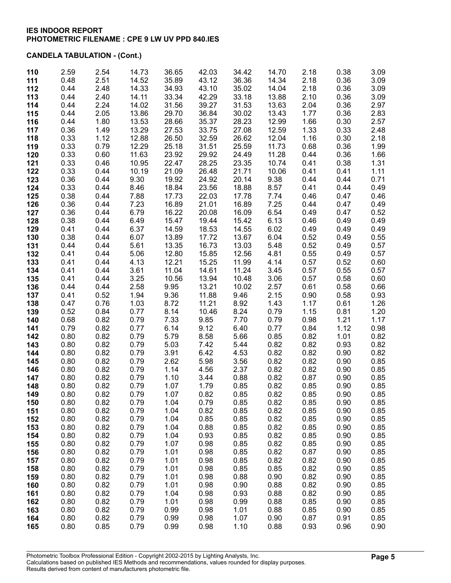| 110        | 2.59         | 2.54         | 14.73          | 36.65          | 42.03          | 34.42          | 14.70          | 2.18         | 0.38         | 3.09         |
|------------|--------------|--------------|----------------|----------------|----------------|----------------|----------------|--------------|--------------|--------------|
| 111        | 0.48         | 2.51         | 14.52          | 35.89          | 43.12          | 36.36          | 14.34          | 2.18         | 0.36         | 3.09         |
| 112        | 0.44         | 2.48         | 14.33          | 34.93          | 43.10          | 35.02          | 14.04          | 2.18         | 0.36         | 3.09         |
| 113        | 0.44         | 2.40         | 14.11          | 33.34          | 42.29          | 33.18          | 13.88          | 2.10         | 0.36         | 3.09         |
| 114        | 0.44         | 2.24         | 14.02          | 31.56          | 39.27          | 31.53          | 13.63          | 2.04         | 0.36         | 2.97         |
| 115        | 0.44         | 2.05         | 13.86          | 29.70          | 36.84          | 30.02          | 13.43          | 1.77         | 0.36         | 2.83         |
| 116<br>117 | 0.44<br>0.36 | 1.80<br>1.49 | 13.53<br>13.29 | 28.66<br>27.53 | 35.37<br>33.75 | 28.23<br>27.08 | 12.99<br>12.59 | 1.66<br>1.33 | 0.30<br>0.33 | 2.57<br>2.48 |
| 118        | 0.33         | 1.12         | 12.88          | 26.50          | 32.59          | 26.62          | 12.04          | 1.16         | 0.30         | 2.18         |
| 119        | 0.33         | 0.79         | 12.29          | 25.18          | 31.51          | 25.59          | 11.73          | 0.68         | 0.36         | 1.99         |
| 120        | 0.33         | 0.60         | 11.63          | 23.92          | 29.92          | 24.49          | 11.28          | 0.44         | 0.36         | 1.66         |
| 121        | 0.33         | 0.46         | 10.95          | 22.47          | 28.25          | 23.35          | 10.74          | 0.41         | 0.38         | 1.31         |
| 122        | 0.33         | 0.44         | 10.19          | 21.09          | 26.48          | 21.71          | 10.06          | 0.41         | 0.41         | 1.11         |
| 123        | 0.36         | 0.44         | 9.30           | 19.92          | 24.92          | 20.14          | 9.38           | 0.44         | 0.44         | 0.71         |
| 124        | 0.33         | 0.44         | 8.46           | 18.84          | 23.56          | 18.88          | 8.57           | 0.41         | 0.44         | 0.49         |
| 125        | 0.38         | 0.44         | 7.88           | 17.73          | 22.03          | 17.78          | 7.74           | 0.46         | 0.47         | 0.46         |
| 126        | 0.36         | 0.44         | 7.23           | 16.89          | 21.01          | 16.89          | 7.25           | 0.44         | 0.47         | 0.49         |
| 127        | 0.36         | 0.44         | 6.79           | 16.22          | 20.08          | 16.09          | 6.54           | 0.49         | 0.47         | 0.52         |
| 128        | 0.38         | 0.44         | 6.49           | 15.47          | 19.44          | 15.42          | 6.13           | 0.46         | 0.49         | 0.49         |
| 129        | 0.41         | 0.44         | 6.37           | 14.59          | 18.53          | 14.55          | 6.02           | 0.49         | 0.49         | 0.49         |
| 130        | 0.38         | 0.44         | 6.07           | 13.89          | 17.72          | 13.67          | 6.04           | 0.52         | 0.49         | 0.55         |
| 131        | 0.44         | 0.44         | 5.61           | 13.35          | 16.73          | 13.03          | 5.48           | 0.52         | 0.49         | 0.57         |
| 132        | 0.41         | 0.44<br>0.44 | 5.06           | 12.80          | 15.85          | 12.56          | 4.81<br>4.14   | 0.55<br>0.57 | 0.49         | 0.57         |
| 133<br>134 | 0.41<br>0.41 | 0.44         | 4.13<br>3.61   | 12.21<br>11.04 | 15.25<br>14.61 | 11.99<br>11.24 | 3.45           | 0.57         | 0.52<br>0.55 | 0.60<br>0.57 |
| 135        | 0.41         | 0.44         | 3.25           | 10.56          | 13.94          | 10.48          | 3.06           | 0.57         | 0.58         | 0.60         |
| 136        | 0.44         | 0.44         | 2.58           | 9.95           | 13.21          | 10.02          | 2.57           | 0.61         | 0.58         | 0.66         |
| 137        | 0.41         | 0.52         | 1.94           | 9.36           | 11.88          | 9.46           | 2.15           | 0.90         | 0.58         | 0.93         |
| 138        | 0.47         | 0.76         | 1.03           | 8.72           | 11.21          | 8.92           | 1.43           | 1.17         | 0.61         | 1.26         |
| 139        | 0.52         | 0.84         | 0.77           | 8.14           | 10.46          | 8.24           | 0.79           | 1.15         | 0.81         | 1.20         |
| 140        | 0.68         | 0.82         | 0.79           | 7.33           | 9.85           | 7.70           | 0.79           | 0.98         | 1.21         | 1.17         |
| 141        | 0.79         | 0.82         | 0.77           | 6.14           | 9.12           | 6.40           | 0.77           | 0.84         | 1.12         | 0.98         |
| 142        | 0.80         | 0.82         | 0.79           | 5.79           | 8.58           | 5.66           | 0.85           | 0.82         | 1.01         | 0.82         |
| 143        | 0.80         | 0.82         | 0.79           | 5.03           | 7.42           | 5.44           | 0.82           | 0.82         | 0.93         | 0.82         |
| 144        | 0.80         | 0.82         | 0.79           | 3.91           | 6.42           | 4.53           | 0.82           | 0.82         | 0.90         | 0.82         |
| 145        | 0.80         | 0.82         | 0.79           | 2.62           | 5.98           | 3.56           | 0.82           | 0.82         | 0.90         | 0.85         |
| 146        | 0.80         | 0.82         | 0.79           | 1.14           | 4.56           | 2.37           | 0.82           | 0.82         | 0.90         | 0.85         |
| 147        | 0.80         | 0.82         | 0.79<br>0.79   | 1.10<br>1.07   | 3.44<br>1.79   | 0.88<br>0.85   | 0.82           | 0.87<br>0.85 | 0.90         | 0.85         |
| 148<br>149 | 0.80<br>0.80 | 0.82<br>0.82 | 0.79           | 1.07           | 0.82           | 0.85           | 0.82<br>0.82   | 0.85         | 0.90<br>0.90 | 0.85<br>0.85 |
| 150        | 0.80         | 0.82         | 0.79           | 1.04           | 0.79           | 0.85           | 0.82           | 0.85         | 0.90         | 0.85         |
| 151        | 0.80         | 0.82         | 0.79           | 1.04           | 0.82           | 0.85           | 0.82           | 0.85         | 0.90         | 0.85         |
| 152        | 0.80         | 0.82         | 0.79           | 1.04           | 0.85           | 0.85           | 0.82           | 0.85         | 0.90         | 0.85         |
| 153        | 0.80         | 0.82         | 0.79           | 1.04           | 0.88           | 0.85           | 0.82           | 0.85         | 0.90         | 0.85         |
| 154        | 0.80         | 0.82         | 0.79           | 1.04           | 0.93           | 0.85           | 0.82           | 0.85         | 0.90         | 0.85         |
| 155        | 0.80         | 0.82         | 0.79           | 1.07           | 0.98           | 0.85           | 0.82           | 0.85         | 0.90         | 0.85         |
| 156        | 0.80         | 0.82         | 0.79           | 1.01           | 0.98           | 0.85           | 0.82           | 0.87         | 0.90         | 0.85         |
| 157        | 0.80         | 0.82         | 0.79           | 1.01           | 0.98           | 0.85           | 0.82           | 0.82         | 0.90         | 0.85         |
| 158        | 0.80         | 0.82         | 0.79           | 1.01           | 0.98           | 0.85           | 0.85           | 0.82         | 0.90         | 0.85         |
| 159        | 0.80         | 0.82         | 0.79           | 1.01           | 0.98           | 0.88           | 0.90           | 0.82         | 0.90         | 0.85         |
| 160        | 0.80         | 0.82         | 0.79           | 1.01           | 0.98           | 0.90           | 0.88           | 0.82         | 0.90         | 0.85         |
| 161        | 0.80         | 0.82         | 0.79           | 1.04           | 0.98           | 0.93           | 0.88           | 0.82         | 0.90         | 0.85         |
| 162        | 0.80         | 0.82         | 0.79           | 1.01           | 0.98           | 0.99           | 0.88           | 0.85         | 0.90         | 0.85         |
| 163<br>164 | 0.80<br>0.80 | 0.82<br>0.82 | 0.79<br>0.79   | 0.99<br>0.99   | 0.98<br>0.98   | 1.01<br>1.07   | 0.88<br>0.90   | 0.85<br>0.87 | 0.90<br>0.91 | 0.85<br>0.85 |
| 165        | 0.80         | 0.85         | 0.79           | 0.99           | 0.98           | 1.10           | 0.88           | 0.93         | 0.96         | 0.90         |
|            |              |              |                |                |                |                |                |              |              |              |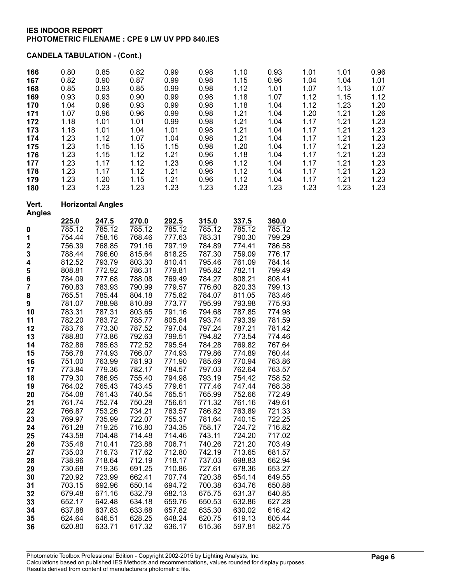| 166<br>167<br>168<br>169<br>170<br>171<br>172<br>173<br>174<br>175<br>176<br>177<br>178<br>179<br>180                                                                                                                             | 0.80<br>0.82<br>0.85<br>0.93<br>1.04<br>1.07<br>1.18<br>1.18<br>1.23<br>1.23<br>1.23<br>1.23<br>1.23<br>1.23<br>1.23                                                                                                                                                                                                           | 0.85<br>0.90<br>0.93<br>0.93<br>0.96<br>0.96<br>1.01<br>1.01<br>1.12<br>1.15<br>1.15<br>1.17<br>1.17<br>1.20<br>1.23                                                                                                                                                                                                        | 0.82<br>0.87<br>0.85<br>0.90<br>0.93<br>0.96<br>1.01<br>1.04<br>1.07<br>1.15<br>1.12<br>1.12<br>1.12<br>1.15<br>1.23                                                                                                                                                                                              | 0.99<br>0.99<br>0.99<br>0.99<br>0.99<br>0.99<br>0.99<br>1.01<br>1.04<br>1.15<br>1.21<br>1.23<br>1.21<br>1.21<br>1.23                                                                                                                                                                                              | 0.98<br>0.98<br>0.98<br>0.98<br>0.98<br>0.98<br>0.98<br>0.98<br>0.98<br>0.98<br>0.96<br>0.96<br>0.96<br>0.96<br>1.23                                                                                                                                                                                              | 1.10<br>1.15<br>1.12<br>1.18<br>1.18<br>1.21<br>1.21<br>1.21<br>1.21<br>1.20<br>1.18<br>1.12<br>1.12<br>1.12<br>1.23                                                                                                                                                                                              | 0.93<br>0.96<br>1.01<br>1.07<br>1.04<br>1.04<br>1.04<br>1.04<br>1.04<br>1.04<br>1.04<br>1.04<br>1.04<br>1.04<br>1.23                                                                                                                                                                                                           | 1.01<br>1.04<br>1.07<br>1.12<br>1.12<br>1.20<br>1.17<br>1.17<br>1.17<br>1.17<br>1.17<br>1.17<br>1.17<br>1.17<br>1.23 | 1.01<br>1.04<br>1.13<br>1.15<br>1.23<br>1.21<br>1.21<br>1.21<br>1.21<br>1.21<br>1.21<br>1.21<br>1.21<br>1.21<br>1.23 | 0.96<br>1.01<br>1.07<br>1.12<br>1.20<br>1.26<br>1.23<br>1.23<br>1.23<br>1.23<br>1.23<br>1.23<br>1.23<br>1.23<br>1.23 |
|-----------------------------------------------------------------------------------------------------------------------------------------------------------------------------------------------------------------------------------|--------------------------------------------------------------------------------------------------------------------------------------------------------------------------------------------------------------------------------------------------------------------------------------------------------------------------------|-----------------------------------------------------------------------------------------------------------------------------------------------------------------------------------------------------------------------------------------------------------------------------------------------------------------------------|-------------------------------------------------------------------------------------------------------------------------------------------------------------------------------------------------------------------------------------------------------------------------------------------------------------------|-------------------------------------------------------------------------------------------------------------------------------------------------------------------------------------------------------------------------------------------------------------------------------------------------------------------|-------------------------------------------------------------------------------------------------------------------------------------------------------------------------------------------------------------------------------------------------------------------------------------------------------------------|-------------------------------------------------------------------------------------------------------------------------------------------------------------------------------------------------------------------------------------------------------------------------------------------------------------------|--------------------------------------------------------------------------------------------------------------------------------------------------------------------------------------------------------------------------------------------------------------------------------------------------------------------------------|----------------------------------------------------------------------------------------------------------------------|----------------------------------------------------------------------------------------------------------------------|----------------------------------------------------------------------------------------------------------------------|
| Vert.<br><b>Angles</b>                                                                                                                                                                                                            |                                                                                                                                                                                                                                                                                                                                | <b>Horizontal Angles</b>                                                                                                                                                                                                                                                                                                    |                                                                                                                                                                                                                                                                                                                   |                                                                                                                                                                                                                                                                                                                   |                                                                                                                                                                                                                                                                                                                   |                                                                                                                                                                                                                                                                                                                   |                                                                                                                                                                                                                                                                                                                                |                                                                                                                      |                                                                                                                      |                                                                                                                      |
| $\boldsymbol{0}$<br>1<br>$\overline{\mathbf{c}}$<br>3<br>4<br>5<br>6<br>$\overline{\mathbf{7}}$<br>8<br>9<br>10<br>11<br>12<br>13<br>14<br>15<br>16<br>17<br>18<br>19<br>20<br>21<br>22<br>23<br>24<br>25<br>26<br>27<br>28<br>29 | 225.0<br>$\overline{785}.12$<br>754.44<br>756.39<br>788.44<br>812.52<br>808.81<br>784.09<br>760.83<br>765.51<br>781.07<br>783.31<br>782.20<br>783.76<br>788.80<br>782.86<br>756.78<br>751.00<br>773.84<br>779.30<br>764.02<br>754.08<br>761.74<br>766.87<br>769.97<br>761.28<br>743.58<br>735.48<br>735.03<br>738.96<br>730.68 | 247.5<br>785.12<br>758.16<br>768.85<br>796.60<br>793.79<br>772.92<br>777.68<br>783.93<br>785.44<br>788.98<br>787.31<br>783.72<br>773.30<br>773.86<br>785.63<br>774.93<br>763.99<br>779.36<br>786.95<br>765.43<br>761.43<br>752.74<br>753.26<br>735.99<br>719.25<br>704.48<br>710.41<br>716.73<br>718.64<br>719.36<br>723.99 | 270.0<br>785.12<br>768.46<br>791.16<br>815.64<br>803.30<br>786.31<br>788.08<br>790.99<br>804.18<br>810.89<br>803.65<br>785.77<br>787.52<br>792.63<br>772.52<br>766.07<br>781.93<br>782.17<br>755.40<br>743.45<br>740.54<br>750.28<br>734.21<br>722.07<br>716.80<br>714.48<br>723.88<br>717.62<br>712.19<br>691.25 | 292.5<br>785.12<br>777.63<br>797.19<br>818.25<br>810.41<br>779.81<br>769.49<br>779.57<br>775.82<br>773.77<br>791.16<br>805.84<br>797.04<br>799.51<br>795.54<br>774.93<br>771.90<br>784.57<br>794.98<br>779.61<br>765.51<br>756.61<br>763.57<br>755.37<br>734.35<br>714.46<br>706.71<br>712.80<br>718.17<br>710.86 | 315.0<br>785.12<br>783.31<br>784.89<br>787.30<br>795.46<br>795.82<br>784.27<br>776.60<br>784.07<br>795.99<br>794.68<br>793.74<br>797.24<br>794.82<br>784.28<br>779.86<br>785.69<br>797.03<br>793.19<br>777.46<br>765.99<br>771.32<br>786.82<br>781.64<br>758.17<br>743.11<br>740.26<br>742.19<br>737.03<br>727.61 | 337.5<br>785.12<br>790.30<br>774.41<br>759.09<br>761.09<br>782.11<br>808.21<br>820.33<br>811.05<br>793.98<br>787.85<br>793.39<br>787.21<br>773.54<br>769.82<br>774.89<br>770.94<br>762.64<br>754.42<br>747.44<br>752.66<br>761.16<br>763.89<br>740.15<br>724.72<br>724.20<br>721.20<br>713.65<br>698.83<br>678.36 | 360.0<br>$\overline{785}.12$<br>799.29<br>786.58<br>776.17<br>784.14<br>799.49<br>808.41<br>799.13<br>783.46<br>775.93<br>774.98<br>781.59<br>781.42<br>774.46<br>767.64<br>760.44<br>763.86<br>763.57<br>758.52<br>768.38<br>772.49<br>749.61<br>721.33<br>722.25<br>716.82<br>717.02<br>703.49<br>681.57<br>662.94<br>653.27 |                                                                                                                      |                                                                                                                      |                                                                                                                      |
| 30<br>31<br>32<br>33<br>34<br>35<br>36                                                                                                                                                                                            | 720.92<br>703.15<br>679.48<br>652.17<br>637.88<br>624.64<br>620.80                                                                                                                                                                                                                                                             | 692.96<br>671.16<br>642.48<br>637.83<br>646.51<br>633.71                                                                                                                                                                                                                                                                    | 662.41<br>650.14<br>632.79<br>634.18<br>633.68<br>628.25<br>617.32                                                                                                                                                                                                                                                | 707.74<br>694.72<br>682.13<br>659.76<br>657.82<br>648.24<br>636.17                                                                                                                                                                                                                                                | 720.38<br>700.38<br>675.75<br>650.53<br>635.30<br>620.75<br>615.36                                                                                                                                                                                                                                                | 654.14<br>634.76<br>631.37<br>632.86<br>630.02<br>619.13<br>597.81                                                                                                                                                                                                                                                | 649.55<br>650.88<br>640.85<br>627.28<br>616.42<br>605.44<br>582.75                                                                                                                                                                                                                                                             |                                                                                                                      |                                                                                                                      |                                                                                                                      |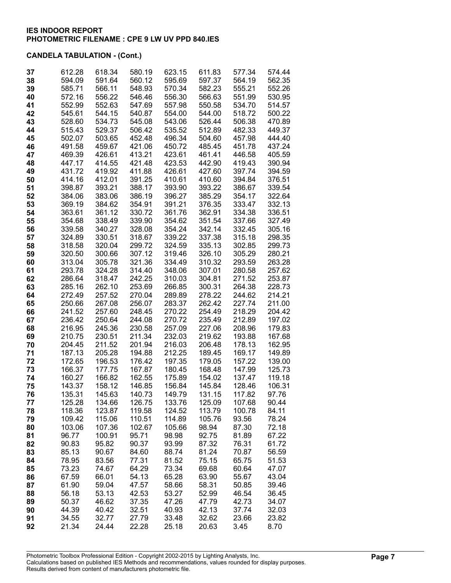| 37       | 612.28           | 618.34           | 580.19           | 623.15           | 611.83           | 577.34           | 574.44           |
|----------|------------------|------------------|------------------|------------------|------------------|------------------|------------------|
| 38       | 594.09           | 591.64           | 560.12           | 595.69           | 597.37           | 564.19           | 562.35           |
| 39<br>40 | 585.71<br>572.16 | 566.11<br>556.22 | 548.93<br>546.46 | 570.34<br>556.30 | 582.23<br>566.63 | 555.21<br>551.99 | 552.26<br>530.95 |
| 41       | 552.99           | 552.63           | 547.69           | 557.98           | 550.58           | 534.70           | 514.57           |
| 42       | 545.61           | 544.15           | 540.87           | 554.00           | 544.00           | 518.72           | 500.22           |
| 43       | 528.60           | 534.73           | 545.08           | 543.06           | 526.44           | 506.38           | 470.89           |
| 44       | 515.43           | 529.37           | 506.42           | 535.52           | 512.89           | 482.33           | 449.37           |
| 45       | 502.07           | 503.65           | 452.48           | 496.34           | 504.60           | 457.98           | 444.40           |
| 46       | 491.58           | 459.67           | 421.06           | 450.72           | 485.45           | 451.78           | 437.24           |
| 47       | 469.39           | 426.61           | 413.21           | 423.61           | 461.41           | 446.58           | 405.59           |
| 48       | 447.17           | 414.55           | 421.48           | 423.53           | 442.90           | 419.43           | 390.94           |
| 49       | 431.72           | 419.92           | 411.88           | 426.61           | 427.60           | 397.74           | 394.59           |
| 50       | 414.16           | 412.01           | 391.25           | 410.61           | 410.60           | 394.84           | 376.51           |
| 51       | 398.87           | 393.21           | 388.17           | 393.90           | 393.22           | 386.67           | 339.54           |
| 52       | 384.06           | 383.06           | 386.19           | 396.27           | 385.29           | 354.17           | 322.64           |
| 53<br>54 | 369.19<br>363.61 | 384.62<br>361.12 | 354.91<br>330.72 | 391.21<br>361.76 | 376.35<br>362.91 | 333.47<br>334.38 | 332.13<br>336.51 |
| 55       | 354.68           | 338.49           | 339.90           | 354.62           | 351.54           | 337.66           | 327.49           |
| 56       | 339.58           | 340.27           | 328.08           | 354.24           | 342.14           | 332.45           | 305.16           |
| 57       | 324.89           | 330.51           | 318.67           | 339.22           | 337.38           | 315.18           | 298.35           |
| 58       | 318.58           | 320.04           | 299.72           | 324.59           | 335.13           | 302.85           | 299.73           |
| 59       | 320.50           | 300.66           | 307.12           | 319.46           | 326.10           | 305.29           | 280.21           |
| 60       | 313.04           | 305.78           | 321.36           | 334.49           | 310.32           | 293.59           | 263.28           |
| 61       | 293.78           | 324.28           | 314.40           | 348.06           | 307.01           | 280.58           | 257.62           |
| 62       | 286.64           | 318.47           | 242.25           | 310.03           | 304.81           | 271.52           | 253.87           |
| 63       | 285.16           | 262.10           | 253.69           | 266.85           | 300.31           | 264.38           | 228.73           |
| 64       | 272.49           | 257.52           | 270.04           | 289.89           | 278.22           | 244.62           | 214.21           |
| 65<br>66 | 250.66<br>241.52 | 267.08<br>257.60 | 256.07<br>248.45 | 283.37<br>270.22 | 262.42<br>254.49 | 227.74<br>218.29 | 211.00<br>204.42 |
| 67       | 236.42           | 250.64           | 244.08           | 270.72           | 235.49           | 212.89           | 197.02           |
| 68       | 216.95           | 245.36           | 230.58           | 257.09           | 227.06           | 208.96           | 179.83           |
| 69       | 210.75           | 230.51           | 211.34           | 232.03           | 219.62           | 193.88           | 167.68           |
| 70       | 204.45           | 211.52           | 201.94           | 216.03           | 206.48           | 178.13           | 162.95           |
| 71       | 187.13           | 205.28           | 194.88           | 212.25           | 189.45           | 169.17           | 149.89           |
| 72       | 172.65           | 196.53           | 176.42           | 197.35           | 179.05           | 157.22           | 139.00           |
| 73       | 166.37           | 177.75           | 167.87           | 180.45           | 168.48           | 147.99           | 125.73           |
| 74       | 160.27           | 166.82           | 162.55           | 175.89           | 154.02           | 137.47           | 119.18           |
| 75       | 143.37<br>135.31 | 158.12           | 146.85<br>140.73 | 156.84           | 145.84           | 128.46           | 106.31           |
| 76<br>77 | 125.28           | 145.63<br>134.66 | 126.75           | 149.79<br>133.76 | 131.15<br>125.09 | 117.82<br>107.68 | 97.76<br>90.44   |
| 78       | 118.36           | 123.87           | 119.58           | 124.52           | 113.79           | 100.78           | 84.11            |
| 79       | 109.42           | 115.06           | 110.51           | 114.89           | 105.76           | 93.56            | 78.24            |
| 80       | 103.06           | 107.36           | 102.67           | 105.66           | 98.94            | 87.30            | 72.18            |
| 81       | 96.77            | 100.91           | 95.71            | 98.98            | 92.75            | 81.89            | 67.22            |
| 82       | 90.83            | 95.82            | 90.37            | 93.99            | 87.32            | 76.31            | 61.72            |
| 83       | 85.13            | 90.67            | 84.60            | 88.74            | 81.24            | 70.87            | 56.59            |
| 84       | 78.95            | 83.56            | 77.31            | 81.52            | 75.15            | 65.75            | 51.53            |
| 85       | 73.23            | 74.67            | 64.29            | 73.34            | 69.68            | 60.64            | 47.07            |
| 86       | 67.59            | 66.01            | 54.13            | 65.28            | 63.90            | 55.67            | 43.04            |
| 87<br>88 | 61.90<br>56.18   | 59.04<br>53.13   | 47.57<br>42.53   | 58.66<br>53.27   | 58.31<br>52.99   | 50.85<br>46.54   | 39.46<br>36.45   |
| 89       | 50.37            | 46.62            | 37.35            | 47.26            | 47.79            | 42.73            | 34.07            |
| 90       | 44.39            | 40.42            | 32.51            | 40.93            | 42.13            | 37.74            | 32.03            |
| 91       | 34.55            | 32.77            | 27.79            | 33.48            | 32.62            | 23.66            | 23.82            |
| 92       | 21.34            | 24.44            | 22.28            | 25.18            | 20.63            | 3.45             | 8.70             |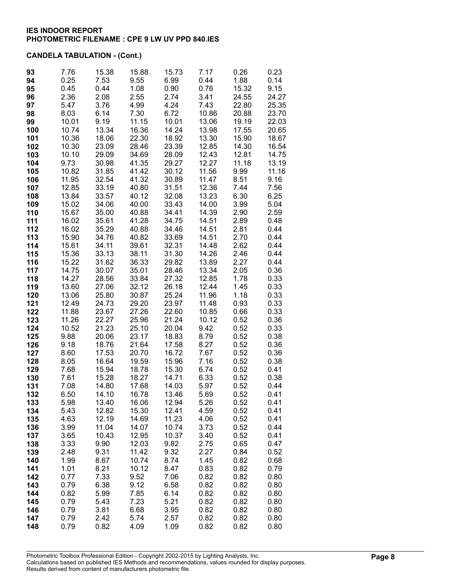| 93         | 7.76           | 15.38          | 15.88          | 15.73          | 7.17           | 0.26           | 0.23           |
|------------|----------------|----------------|----------------|----------------|----------------|----------------|----------------|
| 94         | 0.25           | 7.53           | 9.55           | 6.99           | 0.44           | 1.88           | 0.14           |
| 95         | 0.45           | 0.44           | 1.08           | 0.90           | 0.76           | 15.32          | 9.15           |
| 96         | 2.36           | 2.08           | 2.55           | 2.74           | 3.41           | 24.55          | 24.27          |
| 97<br>98   | 5.47<br>8.03   | 3.76<br>6.14   | 4.99<br>7.30   | 4.24<br>6.72   | 7.43<br>10.86  | 22.80<br>20.88 | 25.35<br>23.70 |
| 99         | 10.01          | 9.19           | 11.15          | 10.01          | 13.06          | 19.19          | 22.03          |
| 100        | 10.74          | 13.34          | 16.36          | 14.24          | 13.98          | 17.55          | 20.65          |
| 101        | 10.36          | 18.06          | 22.30          | 18.92          | 13.30          | 15.90          | 18.67          |
| 102        | 10.30          | 23.09          | 28.46          | 23.39          | 12.85          | 14.30          | 16.54          |
| 103        | 10.10          | 29.09          | 34.69          | 28.09          | 12.43          | 12.81          | 14.75          |
| 104        | 9.73           | 30.98          | 41.35          | 29.27          | 12.27          | 11.18          | 13.19          |
| 105        | 10.82          | 31.85          | 41.42          | 30.12          | 11.56          | 9.99           | 11.16          |
| 106        | 11.95          | 32.54          | 41.32          | 30.89          | 11.47          | 8.51           | 9.16           |
| 107        | 12.85          | 33.19          | 40.80          | 31.51          | 12.36          | 7.44           | 7.56           |
| 108        | 13.84<br>15.02 | 33.57          | 40.12<br>40.00 | 32.08          | 13.23          | 6.30           | 6.25<br>5.04   |
| 109<br>110 | 15.67          | 34.06<br>35.00 | 40.88          | 33.43<br>34.41 | 14.00<br>14.39 | 3.99<br>2.90   | 2.59           |
| 111        | 16.02          | 35.61          | 41.28          | 34.75          | 14.51          | 2.89           | 0.48           |
| 112        | 16.02          | 35.29          | 40.88          | 34.46          | 14.51          | 2.81           | 0.44           |
| 113        | 15.90          | 34.76          | 40.82          | 33.69          | 14.51          | 2.70           | 0.44           |
| 114        | 15.61          | 34.11          | 39.61          | 32.31          | 14.48          | 2.62           | 0.44           |
| 115        | 15.36          | 33.13          | 38.11          | 31.30          | 14.26          | 2.46           | 0.44           |
| 116        | 15.22          | 31.62          | 36.33          | 29.82          | 13.89          | 2.27           | 0.44           |
| 117        | 14.75          | 30.07          | 35.01          | 28.46          | 13.34          | 2.05           | 0.36           |
| 118<br>119 | 14.27<br>13.60 | 28.56<br>27.06 | 33.84<br>32.12 | 27.32<br>26.18 | 12.85<br>12.44 | 1.78<br>1.45   | 0.33<br>0.33   |
| 120        | 13.06          | 25.80          | 30.87          | 25.24          | 11.96          | 1.18           | 0.33           |
| 121        | 12.49          | 24.73          | 29.20          | 23.97          | 11.48          | 0.93           | 0.33           |
| 122        | 11.88          | 23.67          | 27.26          | 22.60          | 10.85          | 0.66           | 0.33           |
| 123        | 11.26          | 22.27          | 25.96          | 21.24          | 10.12          | 0.52           | 0.36           |
| 124        | 10.52          | 21.23          | 25.10          | 20.04          | 9.42           | 0.52           | 0.33           |
| 125        | 9.88           | 20.06          | 23.17          | 18.83          | 8.79           | 0.52           | 0.38           |
| 126        | 9.18           | 18.76          | 21.64          | 17.58          | 8.27           | 0.52           | 0.36           |
| 127<br>128 | 8.60<br>8.05   | 17.53<br>16.64 | 20.70<br>19.59 | 16.72<br>15.96 | 7.67<br>7.16   | 0.52<br>0.52   | 0.36<br>0.38   |
| 129        | 7.68           | 15.94          | 18.78          | 15.30          | 6.74           | 0.52           | 0.41           |
| 130        | 7.61           | 15.28          | 18.27          | 14.71          | 6.33           | 0.52           | 0.38           |
| 131        | 7.08           | 14.80          | 17.68          | 14.03          | 5.97           | 0.52           | 0.44           |
| 132        | 6.50           | 14.10          | 16.78          | 13.46          | 5.69           | 0.52           | 0.41           |
| 133        | 5.98           | 13.40          | 16.06          | 12.94          | 5.26           | 0.52           | 0.41           |
| 134        | 5.43           | 12.82          | 15.30          | 12.41          | 4.59           | 0.52           | 0.41           |
| 135        | 4.63           | 12.19          | 14.69          | 11.23          | 4.06           | 0.52           | 0.41           |
| 136<br>137 | 3.99<br>3.65   | 11.04<br>10.43 | 14.07<br>12.95 | 10.74<br>10.37 | 3.73<br>3.40   | 0.52<br>0.52   | 0.44<br>0.41   |
| 138        | 3.33           | 9.90           | 12.03          | 9.82           | 2.75           | 0.65           | 0.47           |
| 139        | 2.48           | 9.31           | 11.42          | 9.32           | 2.27           | 0.84           | 0.52           |
| 140        | 1.99           | 8.67           | 10.74          | 8.74           | 1.45           | 0.82           | 0.68           |
| 141        | 1.01           | 8.21           | 10.12          | 8.47           | 0.83           | 0.82           | 0.79           |
| 142        | 0.77           | 7.33           | 9.52           | 7.06           | 0.82           | 0.82           | 0.80           |
| 143        | 0.79           | 6.38           | 9.12           | 6.58           | 0.82           | 0.82           | 0.80           |
| 144        | 0.82           | 5.99           | 7.85           | 6.14           | 0.82           | 0.82           | 0.80           |
| 145<br>146 | 0.79           | 5.43           | 7.23           | 5.21           | 0.82           | 0.82           | 0.80           |
| 147        | 0.79<br>0.79   | 3.81<br>2.42   | 6.68<br>5.74   | 3.95<br>2.57   | 0.82<br>0.82   | 0.82<br>0.82   | 0.80<br>0.80   |
| 148        | 0.79           | 0.82           | 4.09           | 1.09           | 0.82           | 0.82           | 0.80           |
|            |                |                |                |                |                |                |                |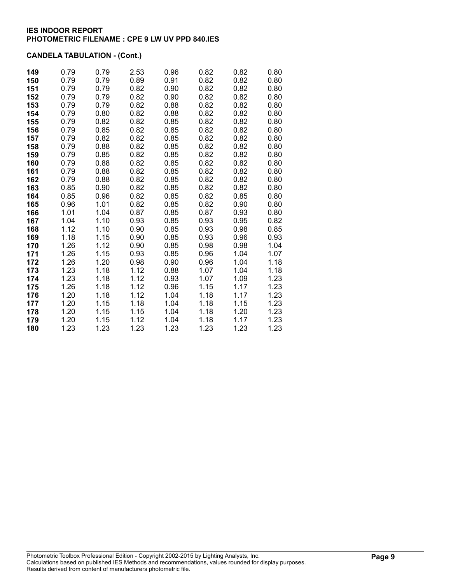| 149 | 0.79 | 0.79 | 2.53 | 0.96 | 0.82 | 0.82 | 0.80 |
|-----|------|------|------|------|------|------|------|
| 150 | 0.79 | 0.79 | 0.89 | 0.91 | 0.82 | 0.82 | 0.80 |
| 151 | 0.79 | 0.79 | 0.82 | 0.90 | 0.82 | 0.82 | 0.80 |
| 152 | 0.79 | 0.79 | 0.82 | 0.90 | 0.82 | 0.82 | 0.80 |
| 153 | 0.79 | 0.79 | 0.82 | 0.88 | 0.82 | 0.82 | 0.80 |
| 154 | 0.79 | 0.80 | 0.82 | 0.88 | 0.82 | 0.82 | 0.80 |
| 155 | 0.79 | 0.82 | 0.82 | 0.85 | 0.82 | 0.82 | 0.80 |
| 156 | 0.79 | 0.85 | 0.82 | 0.85 | 0.82 | 0.82 | 0.80 |
| 157 | 0.79 | 0.82 | 0.82 | 0.85 | 0.82 | 0.82 | 0.80 |
| 158 | 0.79 | 0.88 | 0.82 | 0.85 | 0.82 | 0.82 | 0.80 |
| 159 | 0.79 | 0.85 | 0.82 | 0.85 | 0.82 | 0.82 | 0.80 |
| 160 | 0.79 | 0.88 | 0.82 | 0.85 | 0.82 | 0.82 | 0.80 |
| 161 | 0.79 | 0.88 | 0.82 | 0.85 | 0.82 | 0.82 | 0.80 |
| 162 | 0.79 | 0.88 | 0.82 | 0.85 | 0.82 | 0.82 | 0.80 |
| 163 | 0.85 | 0.90 | 0.82 | 0.85 | 0.82 | 0.82 | 0.80 |
| 164 | 0.85 | 0.96 | 0.82 | 0.85 | 0.82 | 0.85 | 0.80 |
| 165 | 0.96 | 1.01 | 0.82 | 0.85 | 0.82 | 0.90 | 0.80 |
| 166 | 1.01 | 1.04 | 0.87 | 0.85 | 0.87 | 0.93 | 0.80 |
| 167 | 1.04 | 1.10 | 0.93 | 0.85 | 0.93 | 0.95 | 0.82 |
| 168 | 1.12 | 1.10 | 0.90 | 0.85 | 0.93 | 0.98 | 0.85 |
| 169 | 1.18 | 1.15 | 0.90 | 0.85 | 0.93 | 0.96 | 0.93 |
| 170 | 1.26 | 1.12 | 0.90 | 0.85 | 0.98 | 0.98 | 1.04 |
| 171 | 1.26 | 1.15 | 0.93 | 0.85 | 0.96 | 1.04 | 1.07 |
| 172 | 1.26 | 1.20 | 0.98 | 0.90 | 0.96 | 1.04 | 1.18 |
| 173 | 1.23 | 1.18 | 1.12 | 0.88 | 1.07 | 1.04 | 1.18 |
| 174 | 1.23 | 1.18 | 1.12 | 0.93 | 1.07 | 1.09 | 1.23 |
| 175 | 1.26 | 1.18 | 1.12 | 0.96 | 1.15 | 1.17 | 1.23 |
| 176 | 1.20 | 1.18 | 1.12 | 1.04 | 1.18 | 1.17 | 1.23 |
| 177 | 1.20 | 1.15 | 1.18 | 1.04 | 1.18 | 1.15 | 1.23 |
| 178 | 1.20 | 1.15 | 1.15 | 1.04 | 1.18 | 1.20 | 1.23 |
| 179 | 1.20 | 1.15 | 1.12 | 1.04 | 1.18 | 1.17 | 1.23 |
| 180 | 1.23 | 1.23 | 1.23 | 1.23 | 1.23 | 1.23 | 1.23 |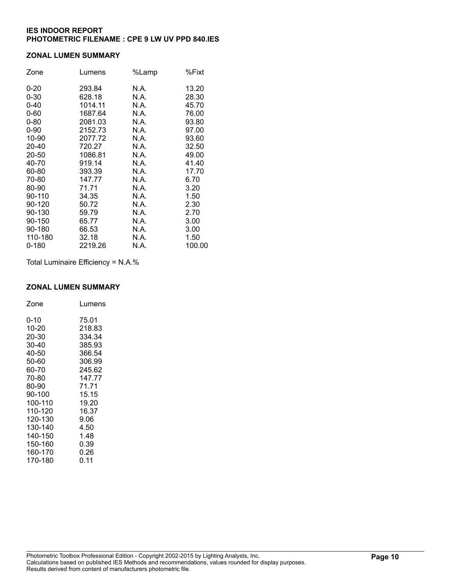### **ZONAL LUMEN SUMMARY**

| Zone      | Lumens  | %Lamp | %Fixt  |
|-----------|---------|-------|--------|
| $0 - 20$  | 293.84  | N.A.  | 13.20  |
| $0 - 30$  | 628.18  | N.A.  | 28.30  |
| $0 - 40$  | 1014.11 | N.A.  | 45.70  |
| $0 - 60$  | 1687.64 | N.A.  | 76.00  |
| $0 - 80$  | 2081.03 | N.A.  | 93.80  |
| $0 - 90$  | 2152.73 | N.A.  | 97.00  |
| 10-90     | 2077.72 | N.A.  | 93.60  |
| 20-40     | 720.27  | N.A.  | 32.50  |
| 20-50     | 1086.81 | N.A.  | 49.00  |
| 40-70     | 919.14  | N.A.  | 41.40  |
| 60-80     | 393.39  | N.A.  | 17.70  |
| 70-80     | 147.77  | N.A.  | 6.70   |
| 80-90     | 71.71   | N.A.  | 3.20   |
| 90-110    | 34.35   | N.A.  | 1.50   |
| 90-120    | 50.72   | N.A.  | 2.30   |
| 90-130    | 59.79   | N.A.  | 2.70   |
| 90-150    | 65.77   | N.A.  | 3.00   |
| 90-180    | 66.53   | N.A.  | 3.00   |
| 110-180   | 32.18   | N.A.  | 1.50   |
| $0 - 180$ | 2219.26 | N.A.  | 100.00 |

Total Luminaire Efficiency = N.A.%

#### **ZONAL LUMEN SUMMARY**

| Zone    | Lumens |
|---------|--------|
| 0-10    | 75.01  |
| 10-20   | 218.83 |
| 20-30   | 334.34 |
| 30-40   | 385.93 |
| 40-50   | 366.54 |
| 50-60   | 306.99 |
| 60-70   | 245.62 |
| 70-80   | 147.77 |
| 80-90   | 71.71  |
| 90-100  | 15.15  |
| 100-110 | 19.20  |
| 110-120 | 16.37  |
| 120-130 | 9.06   |
| 130-140 | 4.50   |
| 140-150 | 1.48   |
| 150-160 | 0.39   |
| 160-170 | 0.26   |
| 170-180 | 0.11   |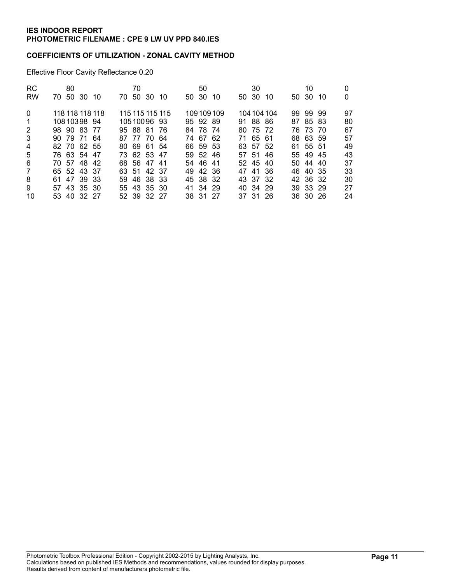### **COEFFICIENTS OF UTILIZATION - ZONAL CAVITY METHOD**

Effective Floor Cavity Reflectance 0.20

| <b>RC</b><br><b>RW</b> | 70 50 30 10                | 80 |                 | 70 | 70 50 30 10               |                 | 50 30 | 50                   | -10       | 50 30 | 30                   | -10         | 50 30 | 10                   | -10 | 0        |
|------------------------|----------------------------|----|-----------------|----|---------------------------|-----------------|-------|----------------------|-----------|-------|----------------------|-------------|-------|----------------------|-----|----------|
| $\Omega$               |                            |    | 118 118 118 118 |    |                           | 115 115 115 115 |       |                      | 109109109 |       |                      | 104 104 104 |       | 99 99 99             |     | 97       |
| $\mathbf 1$<br>2       | 10810398 94<br>98 90 83 77 |    |                 |    | 1051009693<br>95 88 81 76 |                 |       | 95 92 89<br>84 78 74 |           |       | 91 88 86<br>80 75 72 |             |       | 87 85 83<br>76 73 70 |     | 80<br>67 |
| 3                      | 90 79 71 64                |    |                 |    | 87 77 70 64               |                 |       | 74 67 62             |           |       | 71 65 61             |             |       | 68 63 59             |     | 57       |
| 4                      | 82 70 62 55                |    |                 |    | 80 69 61 54               |                 |       | 66 59 53             |           |       | 63 57 52             |             |       | 61 55 51             |     | 49       |
| 5                      | 76 63 54 47                |    |                 |    | 73 62 53 47               |                 |       | 59 52 46             |           |       | 57 51 46             |             |       | 55 49 45             |     | 43       |
| 6                      | 70 57 48 42                |    |                 |    | 68 56 47 41               |                 |       | 54 46 41             |           |       | 52 45 40             |             |       | 50 44 40             |     | 37       |
| $\overline{7}$         | 65 52 43 37                |    |                 |    | 63 51 42 37               |                 |       | 49 42 36             |           |       | 47 41 36             |             |       | 46 40 35             |     | 33       |
| 8                      | 61 47 39 33                |    |                 |    | 59 46 38 33               |                 |       | 45 38 32             |           |       | 43 37 32             |             |       | 42 36 32             |     | 30       |
| 9                      | 57 43 35 30                |    |                 |    | 55 43 35 30               |                 |       | 41 34 29             |           |       | 40 34 29             |             |       | 39 33 29             |     | 27       |
| 10                     | 53 40 32 27                |    |                 |    | 52 39 32 27               |                 |       | 38 31 27             |           |       | 37 31 26             |             |       | 36 30 26             |     | 24       |